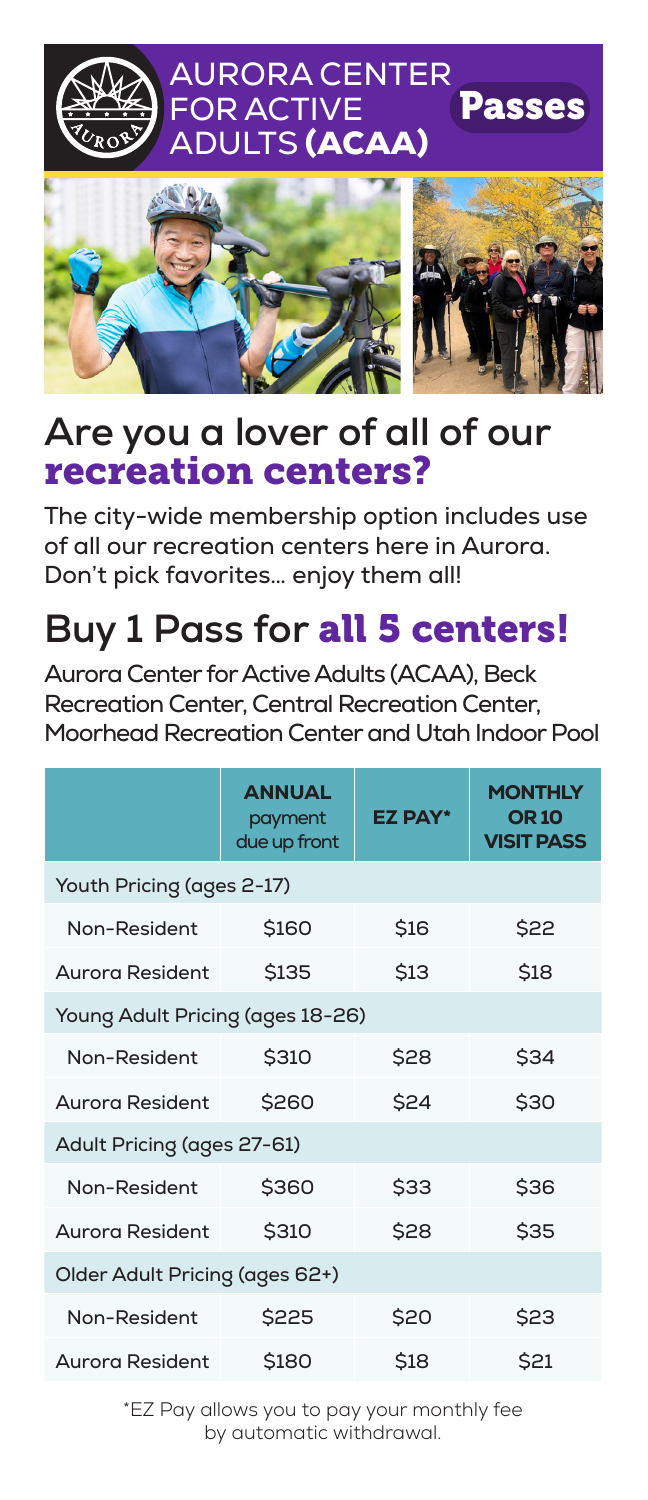



#### **Are you a lover of all of our** recreation centers?

The city-wide membership option includes use of all our recreation centers here in Aurora. Don't pick favorites… enjoy them all!

# **Buy 1 Pass for** all 5 centers!

Aurora Center for Active Adults (ACAA), Beck Recreation Center, Central Recreation Center, Moorhead Recreation Center and Utah Indoor Pool

|                                  | <b>ANNUAL</b><br>payment<br>due up front | <b>EZ PAY*</b> | <b>MONTHLY</b><br><b>OR 10</b><br><b>VISIT PASS</b> |  |
|----------------------------------|------------------------------------------|----------------|-----------------------------------------------------|--|
| Youth Pricing (ages 2-17)        |                                          |                |                                                     |  |
| Non-Resident                     | \$160                                    | <b>\$16</b>    | \$22                                                |  |
| Aurora Resident                  | <b>\$135</b>                             | <b>\$13</b>    | \$18                                                |  |
| Young Adult Pricing (ages 18-26) |                                          |                |                                                     |  |
| Non-Resident                     | \$310                                    | \$28           | \$34                                                |  |
| Aurora Resident                  | \$260                                    | \$24           | \$30                                                |  |
| Adult Pricing (ages 27-61)       |                                          |                |                                                     |  |
| Non-Resident                     | \$360                                    | \$33           | \$36                                                |  |
| Aurora Resident                  | \$310                                    | \$28           | \$35                                                |  |
| Older Adult Pricing (ages 62+)   |                                          |                |                                                     |  |
| Non-Resident                     | \$225                                    | \$20           | \$23                                                |  |
| Aurora Resident                  | \$180                                    | \$18           | \$21                                                |  |

\*EZ Pay allows you to pay your monthly fee by automatic withdrawal.